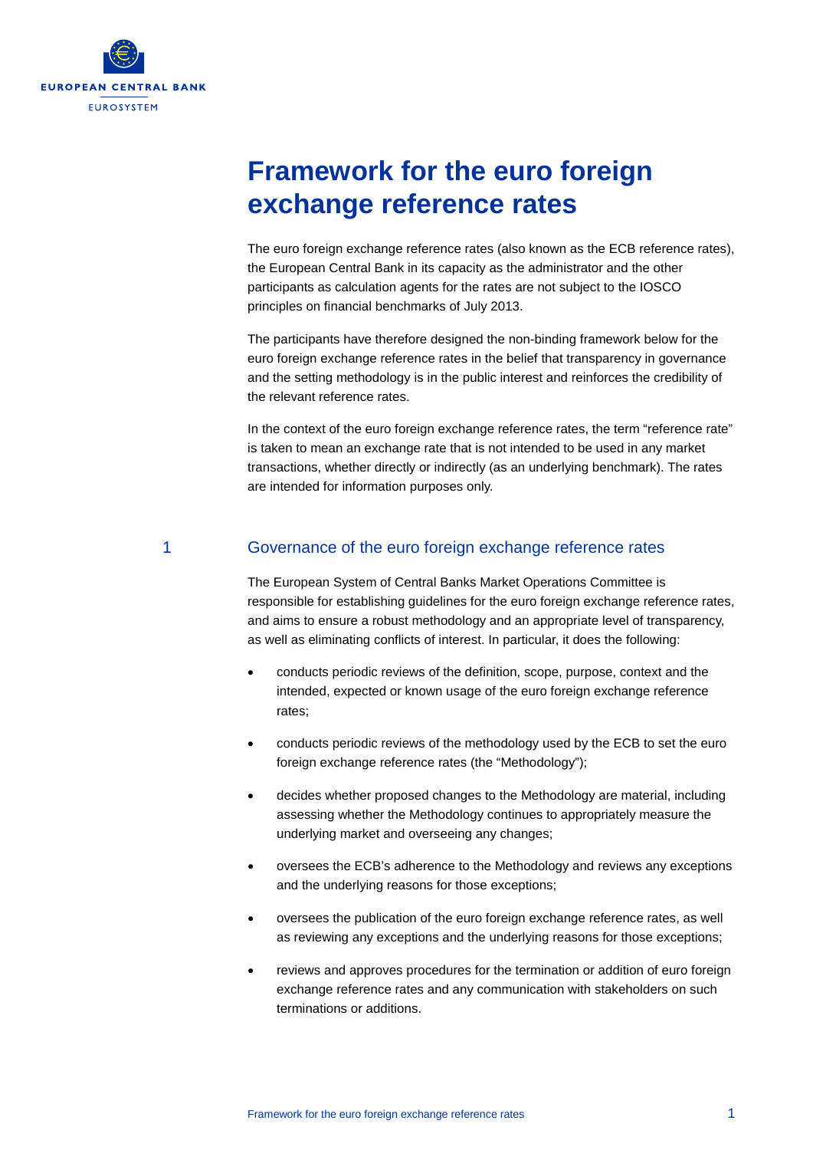

# **Framework for the euro foreign exchange reference rates**

The euro foreign exchange reference rates (also known as the ECB reference rates), the European Central Bank in its capacity as the administrator and the other participants as calculation agents for the rates are not subject to the IOSCO principles on financial benchmarks of July 2013.

The participants have therefore designed the non-binding framework below for the euro foreign exchange reference rates in the belief that transparency in governance and the setting methodology is in the public interest and reinforces the credibility of the relevant reference rates.

In the context of the euro foreign exchange reference rates, the term "reference rate" is taken to mean an exchange rate that is not intended to be used in any market transactions, whether directly or indirectly (as an underlying benchmark). The rates are intended for information purposes only.

#### 1 Governance of the euro foreign exchange reference rates

The European System of Central Banks Market Operations Committee is responsible for establishing guidelines for the euro foreign exchange reference rates, and aims to ensure a robust methodology and an appropriate level of transparency, as well as eliminating conflicts of interest. In particular, it does the following:

- conducts periodic reviews of the definition, scope, purpose, context and the intended, expected or known usage of the euro foreign exchange reference rates;
- conducts periodic reviews of the methodology used by the ECB to set the euro foreign exchange reference rates (the "Methodology");
- decides whether proposed changes to the Methodology are material, including assessing whether the Methodology continues to appropriately measure the underlying market and overseeing any changes;
- oversees the ECB's adherence to the Methodology and reviews any exceptions and the underlying reasons for those exceptions;
- oversees the publication of the euro foreign exchange reference rates, as well as reviewing any exceptions and the underlying reasons for those exceptions;
- reviews and approves procedures for the termination or addition of euro foreign exchange reference rates and any communication with stakeholders on such terminations or additions.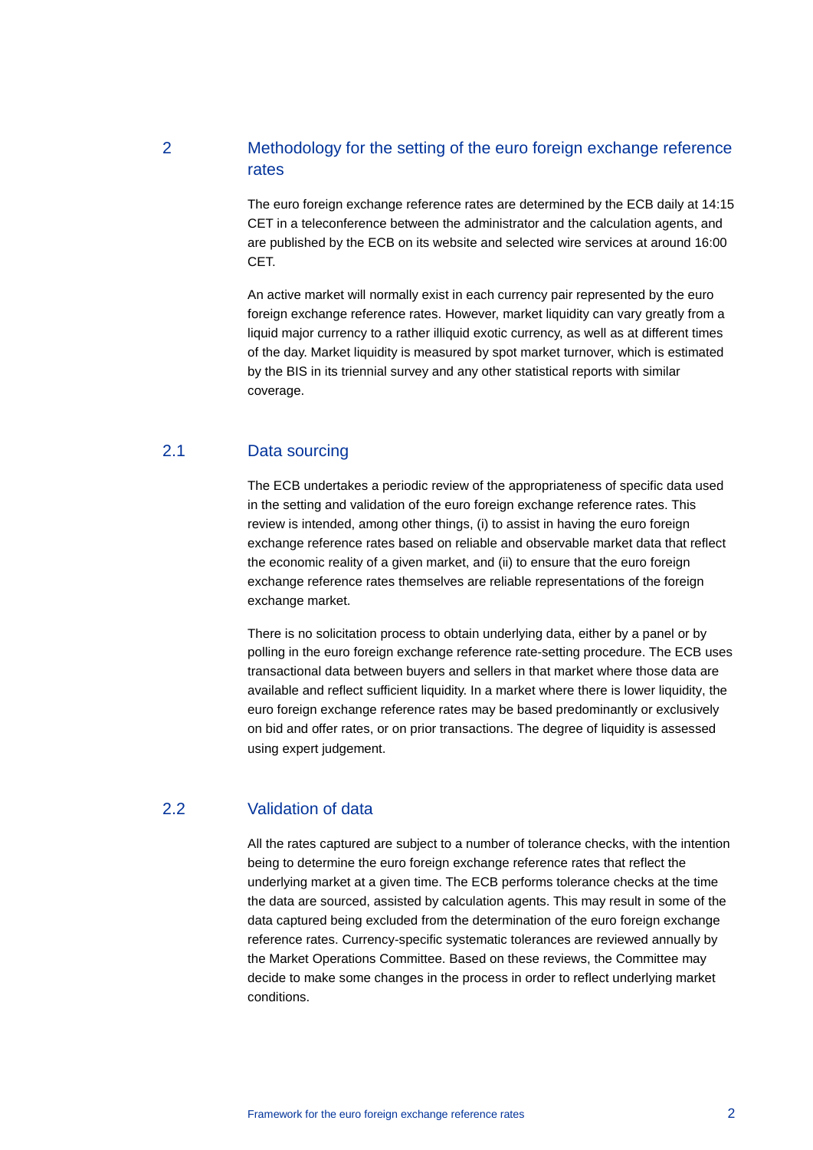# 2 Methodology for the setting of the euro foreign exchange reference rates

The euro foreign exchange reference rates are determined by the ECB daily at 14:15 CET in a teleconference between the administrator and the calculation agents, and are published by the ECB on its website and selected wire services at around 16:00 CET.

An active market will normally exist in each currency pair represented by the euro foreign exchange reference rates. However, market liquidity can vary greatly from a liquid major currency to a rather illiquid exotic currency, as well as at different times of the day. Market liquidity is measured by spot market turnover, which is estimated by the BIS in its triennial survey and any other statistical reports with similar coverage.

## 2.1 Data sourcing

The ECB undertakes a periodic review of the appropriateness of specific data used in the setting and validation of the euro foreign exchange reference rates. This review is intended, among other things, (i) to assist in having the euro foreign exchange reference rates based on reliable and observable market data that reflect the economic reality of a given market, and (ii) to ensure that the euro foreign exchange reference rates themselves are reliable representations of the foreign exchange market.

There is no solicitation process to obtain underlying data, either by a panel or by polling in the euro foreign exchange reference rate-setting procedure. The ECB uses transactional data between buyers and sellers in that market where those data are available and reflect sufficient liquidity. In a market where there is lower liquidity, the euro foreign exchange reference rates may be based predominantly or exclusively on bid and offer rates, or on prior transactions. The degree of liquidity is assessed using expert judgement.

#### 2.2 Validation of data

All the rates captured are subject to a number of tolerance checks, with the intention being to determine the euro foreign exchange reference rates that reflect the underlying market at a given time. The ECB performs tolerance checks at the time the data are sourced, assisted by calculation agents. This may result in some of the data captured being excluded from the determination of the euro foreign exchange reference rates. Currency-specific systematic tolerances are reviewed annually by the Market Operations Committee. Based on these reviews, the Committee may decide to make some changes in the process in order to reflect underlying market conditions.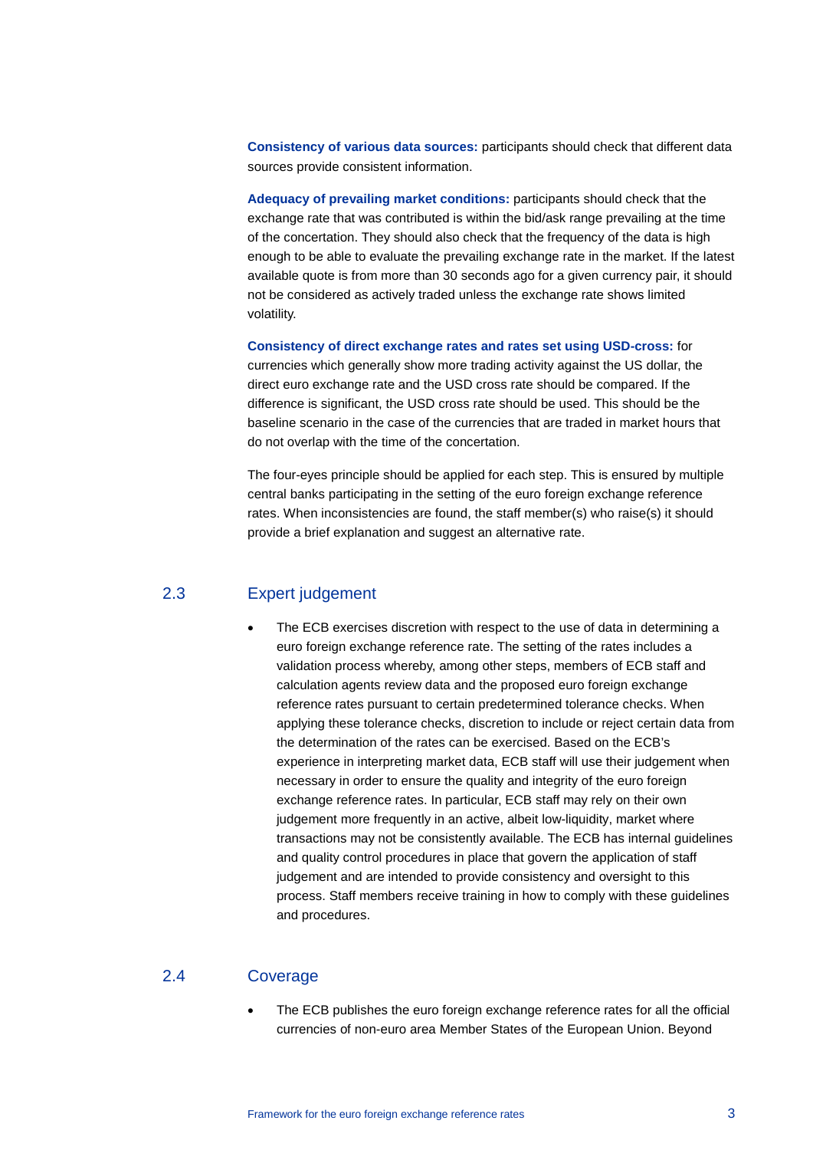**Consistency of various data sources:** participants should check that different data sources provide consistent information.

**Adequacy of prevailing market conditions:** participants should check that the exchange rate that was contributed is within the bid/ask range prevailing at the time of the concertation. They should also check that the frequency of the data is high enough to be able to evaluate the prevailing exchange rate in the market. If the latest available quote is from more than 30 seconds ago for a given currency pair, it should not be considered as actively traded unless the exchange rate shows limited volatility.

**Consistency of direct exchange rates and rates set using USD-cross:** for currencies which generally show more trading activity against the US dollar, the direct euro exchange rate and the USD cross rate should be compared. If the difference is significant, the USD cross rate should be used. This should be the baseline scenario in the case of the currencies that are traded in market hours that do not overlap with the time of the concertation.

The four-eyes principle should be applied for each step. This is ensured by multiple central banks participating in the setting of the euro foreign exchange reference rates. When inconsistencies are found, the staff member(s) who raise(s) it should provide a brief explanation and suggest an alternative rate.

#### 2.3 Expert judgement

• The ECB exercises discretion with respect to the use of data in determining a euro foreign exchange reference rate. The setting of the rates includes a validation process whereby, among other steps, members of ECB staff and calculation agents review data and the proposed euro foreign exchange reference rates pursuant to certain predetermined tolerance checks. When applying these tolerance checks, discretion to include or reject certain data from the determination of the rates can be exercised. Based on the ECB's experience in interpreting market data, ECB staff will use their judgement when necessary in order to ensure the quality and integrity of the euro foreign exchange reference rates. In particular, ECB staff may rely on their own judgement more frequently in an active, albeit low-liquidity, market where transactions may not be consistently available. The ECB has internal guidelines and quality control procedures in place that govern the application of staff judgement and are intended to provide consistency and oversight to this process. Staff members receive training in how to comply with these guidelines and procedures.

#### 2.4 Coverage

The ECB publishes the euro foreign exchange reference rates for all the official currencies of non-euro area Member States of the European Union. Beyond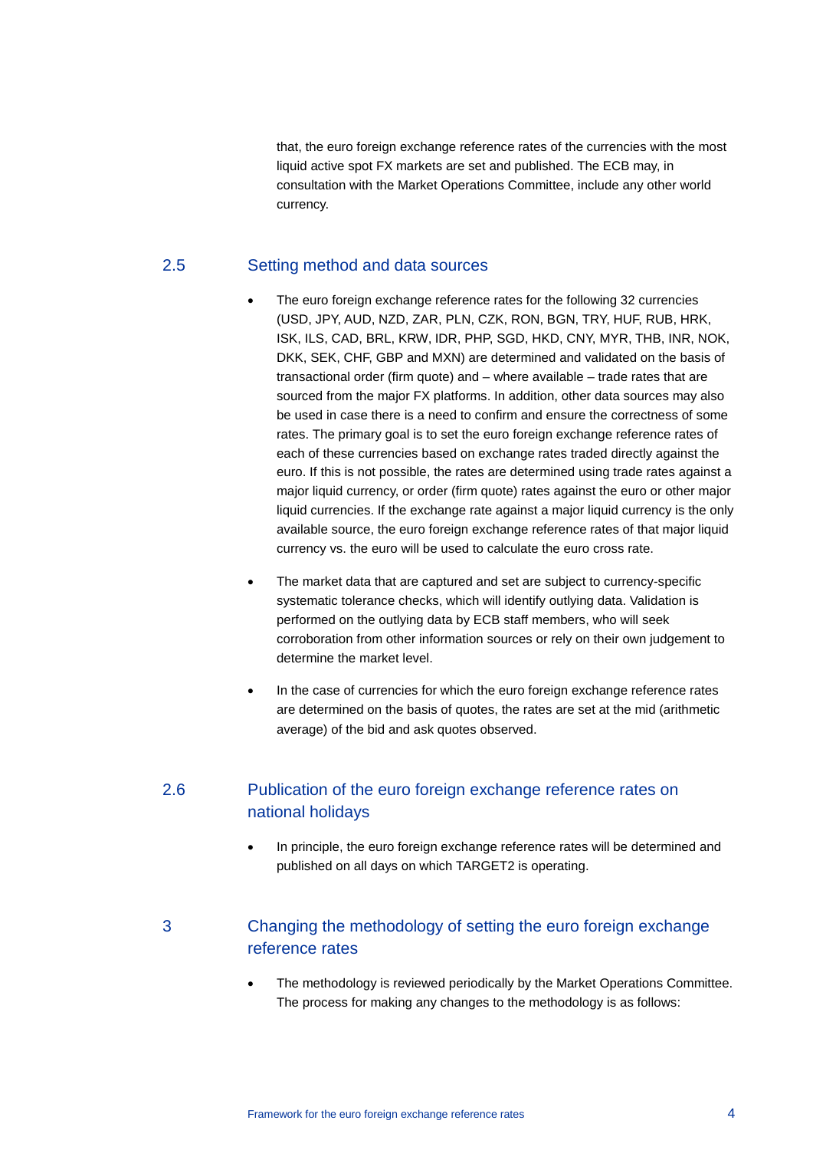that, the euro foreign exchange reference rates of the currencies with the most liquid active spot FX markets are set and published. The ECB may, in consultation with the Market Operations Committee, include any other world currency.

#### 2.5 Setting method and data sources

- The euro foreign exchange reference rates for the following 32 currencies (USD, JPY, AUD, NZD, ZAR, PLN, CZK, RON, BGN, TRY, HUF, RUB, HRK, ISK, ILS, CAD, BRL, KRW, IDR, PHP, SGD, HKD, CNY, MYR, THB, INR, NOK, DKK, SEK, CHF, GBP and MXN) are determined and validated on the basis of transactional order (firm quote) and – where available – trade rates that are sourced from the major FX platforms. In addition, other data sources may also be used in case there is a need to confirm and ensure the correctness of some rates. The primary goal is to set the euro foreign exchange reference rates of each of these currencies based on exchange rates traded directly against the euro. If this is not possible, the rates are determined using trade rates against a major liquid currency, or order (firm quote) rates against the euro or other major liquid currencies. If the exchange rate against a major liquid currency is the only available source, the euro foreign exchange reference rates of that major liquid currency vs. the euro will be used to calculate the euro cross rate.
- The market data that are captured and set are subject to currency-specific systematic tolerance checks, which will identify outlying data. Validation is performed on the outlying data by ECB staff members, who will seek corroboration from other information sources or rely on their own judgement to determine the market level.
- In the case of currencies for which the euro foreign exchange reference rates are determined on the basis of quotes, the rates are set at the mid (arithmetic average) of the bid and ask quotes observed.

# 2.6 Publication of the euro foreign exchange reference rates on national holidays

In principle, the euro foreign exchange reference rates will be determined and published on all days on which TARGET2 is operating.

# 3 Changing the methodology of setting the euro foreign exchange reference rates

The methodology is reviewed periodically by the Market Operations Committee. The process for making any changes to the methodology is as follows: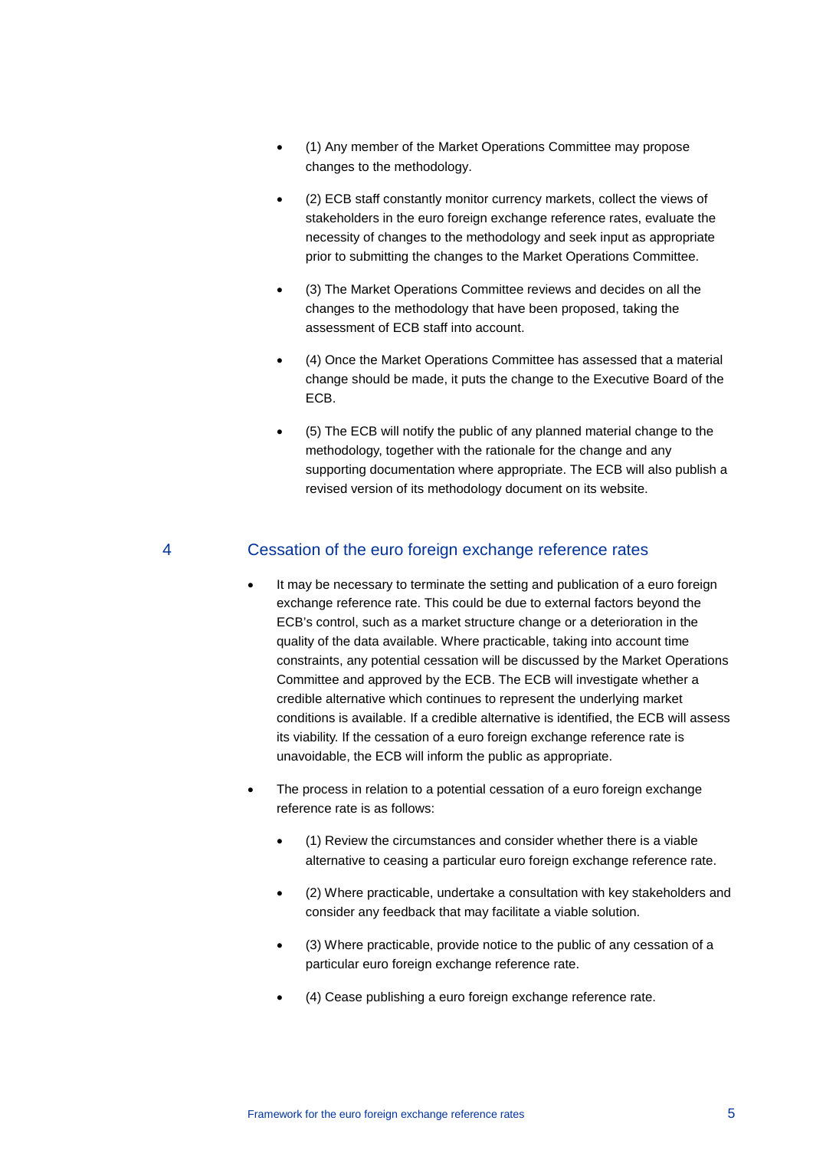- (1) Any member of the Market Operations Committee may propose changes to the methodology.
- (2) ECB staff constantly monitor currency markets, collect the views of stakeholders in the euro foreign exchange reference rates, evaluate the necessity of changes to the methodology and seek input as appropriate prior to submitting the changes to the Market Operations Committee.
- (3) The Market Operations Committee reviews and decides on all the changes to the methodology that have been proposed, taking the assessment of ECB staff into account.
- (4) Once the Market Operations Committee has assessed that a material change should be made, it puts the change to the Executive Board of the ECB.
- (5) The ECB will notify the public of any planned material change to the methodology, together with the rationale for the change and any supporting documentation where appropriate. The ECB will also publish a revised version of its methodology document on its website.

### 4 Cessation of the euro foreign exchange reference rates

- It may be necessary to terminate the setting and publication of a euro foreign exchange reference rate. This could be due to external factors beyond the ECB's control, such as a market structure change or a deterioration in the quality of the data available. Where practicable, taking into account time constraints, any potential cessation will be discussed by the Market Operations Committee and approved by the ECB. The ECB will investigate whether a credible alternative which continues to represent the underlying market conditions is available. If a credible alternative is identified, the ECB will assess its viability. If the cessation of a euro foreign exchange reference rate is unavoidable, the ECB will inform the public as appropriate.
- The process in relation to a potential cessation of a euro foreign exchange reference rate is as follows:
	- (1) Review the circumstances and consider whether there is a viable alternative to ceasing a particular euro foreign exchange reference rate.
	- (2) Where practicable, undertake a consultation with key stakeholders and consider any feedback that may facilitate a viable solution.
	- (3) Where practicable, provide notice to the public of any cessation of a particular euro foreign exchange reference rate.
	- (4) Cease publishing a euro foreign exchange reference rate.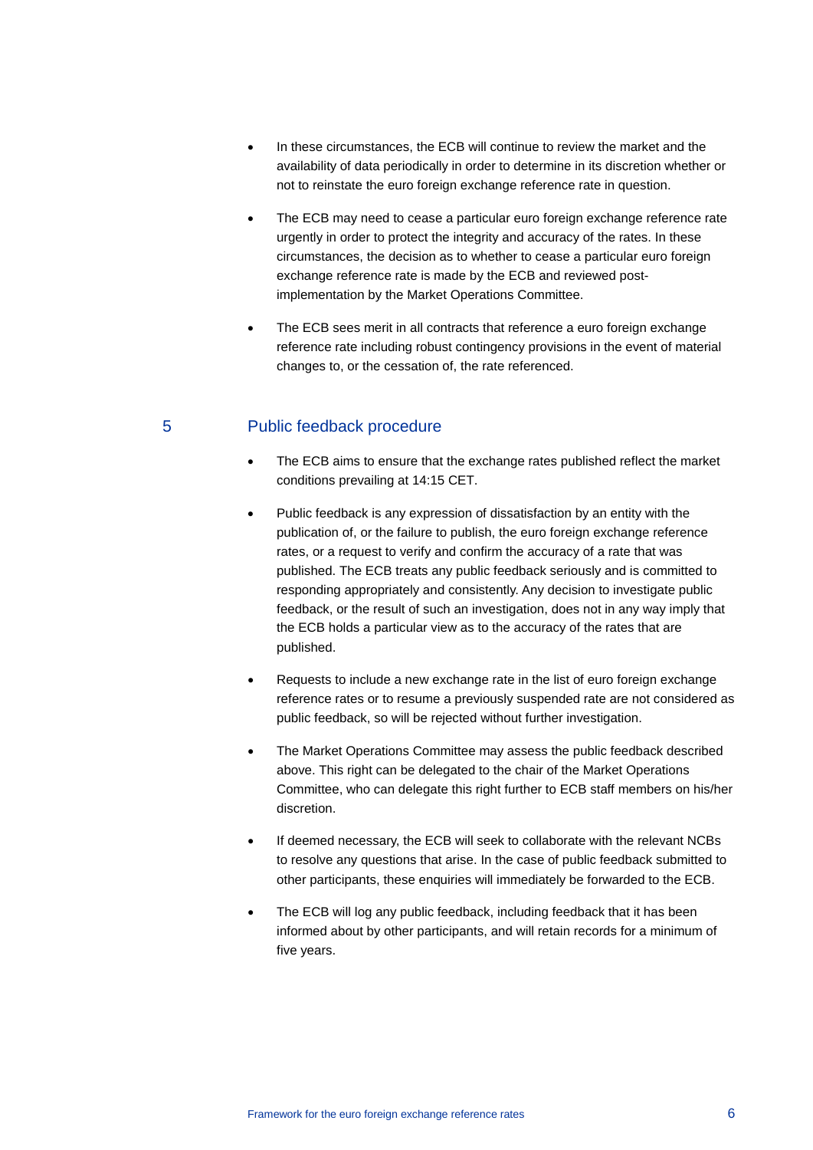- In these circumstances, the ECB will continue to review the market and the availability of data periodically in order to determine in its discretion whether or not to reinstate the euro foreign exchange reference rate in question.
- The ECB may need to cease a particular euro foreign exchange reference rate urgently in order to protect the integrity and accuracy of the rates. In these circumstances, the decision as to whether to cease a particular euro foreign exchange reference rate is made by the ECB and reviewed postimplementation by the Market Operations Committee.
- The ECB sees merit in all contracts that reference a euro foreign exchange reference rate including robust contingency provisions in the event of material changes to, or the cessation of, the rate referenced.

# 5 Public feedback procedure

- The ECB aims to ensure that the exchange rates published reflect the market conditions prevailing at 14:15 CET.
- Public feedback is any expression of dissatisfaction by an entity with the publication of, or the failure to publish, the euro foreign exchange reference rates, or a request to verify and confirm the accuracy of a rate that was published. The ECB treats any public feedback seriously and is committed to responding appropriately and consistently. Any decision to investigate public feedback, or the result of such an investigation, does not in any way imply that the ECB holds a particular view as to the accuracy of the rates that are published.
- Requests to include a new exchange rate in the list of euro foreign exchange reference rates or to resume a previously suspended rate are not considered as public feedback, so will be rejected without further investigation.
- The Market Operations Committee may assess the public feedback described above. This right can be delegated to the chair of the Market Operations Committee, who can delegate this right further to ECB staff members on his/her discretion.
- If deemed necessary, the ECB will seek to collaborate with the relevant NCBs to resolve any questions that arise. In the case of public feedback submitted to other participants, these enquiries will immediately be forwarded to the ECB.
- The ECB will log any public feedback, including feedback that it has been informed about by other participants, and will retain records for a minimum of five years.